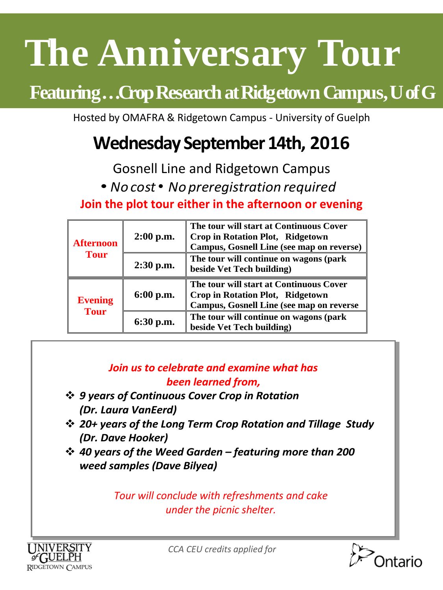# **The Anniversary Tour**

## **Featuring…Crop Research at Ridgetown Campus, U of G**

Hosted by OMAFRA & Ridgetown Campus - University of Guelph

### **Wednesday September 14th, 2016**

Gosnell Line and Ridgetown Campus

• *No cost*• *No preregistration required*

**Join the plot tour either in the afternoon or evening**

| <b>Afternoon</b><br><b>Tour</b> | $2:00$ p.m. | The tour will start at Continuous Cover<br>Crop in Rotation Plot, Ridgetown<br><b>Campus, Gosnell Line (see map on reverse)</b> |
|---------------------------------|-------------|---------------------------------------------------------------------------------------------------------------------------------|
|                                 | $2:30$ p.m. | The tour will continue on wagons (park<br>beside Vet Tech building)                                                             |
| <b>Evening</b><br><b>Tour</b>   | $6:00$ p.m. | The tour will start at Continuous Cover<br>Crop in Rotation Plot, Ridgetown<br><b>Campus, Gosnell Line (see map on reverse</b>  |
|                                 | $6:30$ p.m. | The tour will continue on wagons (park<br>beside Vet Tech building)                                                             |

#### *Join us to celebrate and examine what has been learned from,*

- *9 years of Continuous Cover Crop in Rotation (Dr. Laura VanEerd)*
- *20+ years of the Long Term Crop Rotation and Tillage Study (Dr. Dave Hooker)*
- *40 years of the Weed Garden – featuring more than 200 weed samples (Dave Bilyea)*

*Tour will conclude with refreshments and cake under the picnic shelter.*



*CCA CEU credits applied for*